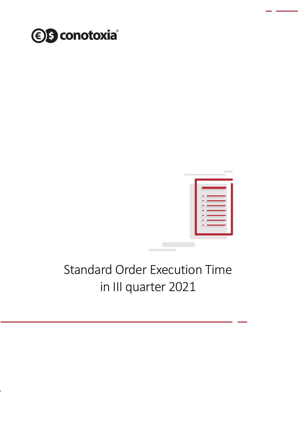



## Standard Order Execution Time in III quarter 2021